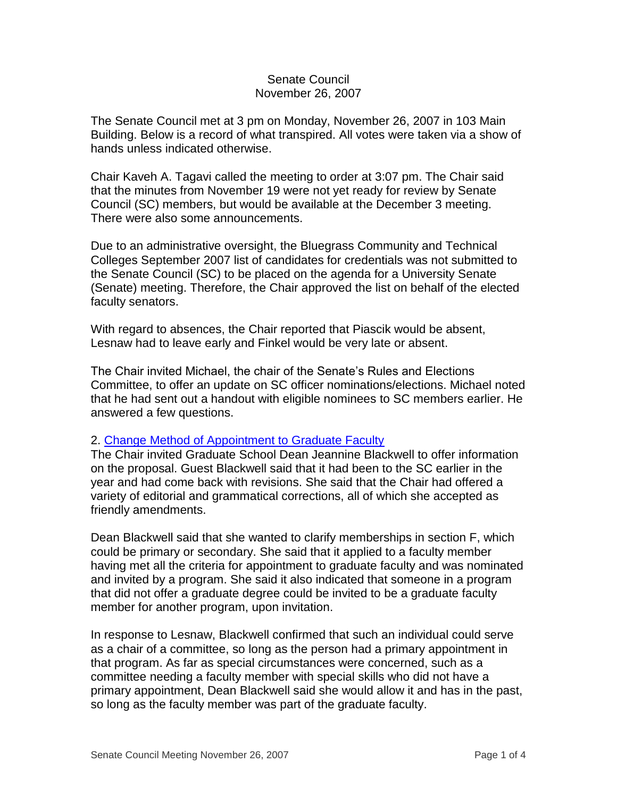## Senate Council November 26, 2007

The Senate Council met at 3 pm on Monday, November 26, 2007 in 103 Main Building. Below is a record of what transpired. All votes were taken via a show of hands unless indicated otherwise.

Chair Kaveh A. Tagavi called the meeting to order at 3:07 pm. The Chair said that the minutes from November 19 were not yet ready for review by Senate Council (SC) members, but would be available at the December 3 meeting. There were also some announcements.

Due to an administrative oversight, the Bluegrass Community and Technical Colleges September 2007 list of candidates for credentials was not submitted to the Senate Council (SC) to be placed on the agenda for a University Senate (Senate) meeting. Therefore, the Chair approved the list on behalf of the elected faculty senators.

With regard to absences, the Chair reported that Piascik would be absent, Lesnaw had to leave early and Finkel would be very late or absent.

The Chair invited Michael, the chair of the Senate's Rules and Elections Committee, to offer an update on SC officer nominations/elections. Michael noted that he had sent out a handout with eligible nominees to SC members earlier. He answered a few questions.

## 2. [Change Method of Appointment to Graduate Faculty](http://www.uky.edu/USC/New/files/20071126/Chnge%20Mthod%20Appt%20to%20Grad%20Faculty_Complete.pdf)

The Chair invited Graduate School Dean Jeannine Blackwell to offer information on the proposal. Guest Blackwell said that it had been to the SC earlier in the year and had come back with revisions. She said that the Chair had offered a variety of editorial and grammatical corrections, all of which she accepted as friendly amendments.

Dean Blackwell said that she wanted to clarify memberships in section F, which could be primary or secondary. She said that it applied to a faculty member having met all the criteria for appointment to graduate faculty and was nominated and invited by a program. She said it also indicated that someone in a program that did not offer a graduate degree could be invited to be a graduate faculty member for another program, upon invitation.

In response to Lesnaw, Blackwell confirmed that such an individual could serve as a chair of a committee, so long as the person had a primary appointment in that program. As far as special circumstances were concerned, such as a committee needing a faculty member with special skills who did not have a primary appointment, Dean Blackwell said she would allow it and has in the past, so long as the faculty member was part of the graduate faculty.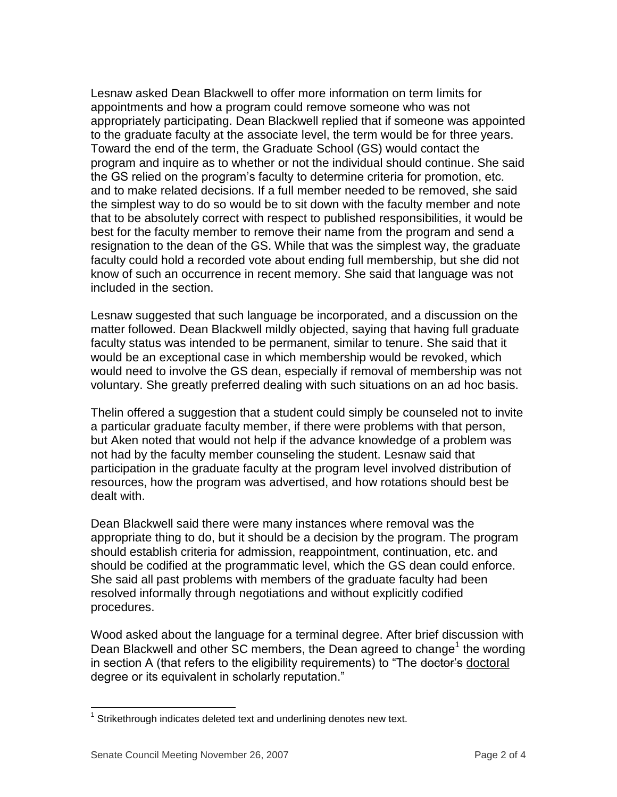Lesnaw asked Dean Blackwell to offer more information on term limits for appointments and how a program could remove someone who was not appropriately participating. Dean Blackwell replied that if someone was appointed to the graduate faculty at the associate level, the term would be for three years. Toward the end of the term, the Graduate School (GS) would contact the program and inquire as to whether or not the individual should continue. She said the GS relied on the program's faculty to determine criteria for promotion, etc. and to make related decisions. If a full member needed to be removed, she said the simplest way to do so would be to sit down with the faculty member and note that to be absolutely correct with respect to published responsibilities, it would be best for the faculty member to remove their name from the program and send a resignation to the dean of the GS. While that was the simplest way, the graduate faculty could hold a recorded vote about ending full membership, but she did not know of such an occurrence in recent memory. She said that language was not included in the section.

Lesnaw suggested that such language be incorporated, and a discussion on the matter followed. Dean Blackwell mildly objected, saying that having full graduate faculty status was intended to be permanent, similar to tenure. She said that it would be an exceptional case in which membership would be revoked, which would need to involve the GS dean, especially if removal of membership was not voluntary. She greatly preferred dealing with such situations on an ad hoc basis.

Thelin offered a suggestion that a student could simply be counseled not to invite a particular graduate faculty member, if there were problems with that person, but Aken noted that would not help if the advance knowledge of a problem was not had by the faculty member counseling the student. Lesnaw said that participation in the graduate faculty at the program level involved distribution of resources, how the program was advertised, and how rotations should best be dealt with.

Dean Blackwell said there were many instances where removal was the appropriate thing to do, but it should be a decision by the program. The program should establish criteria for admission, reappointment, continuation, etc. and should be codified at the programmatic level, which the GS dean could enforce. She said all past problems with members of the graduate faculty had been resolved informally through negotiations and without explicitly codified procedures.

Wood asked about the language for a terminal degree. After brief discussion with Dean Blackwell and other  $SC$  members, the Dean agreed to change<sup>1</sup> the wording in section A (that refers to the eligibility requirements) to "The doctor's doctoral degree or its equivalent in scholarly reputation."

 $\overline{a}$  $1$  Strikethrough indicates deleted text and underlining denotes new text.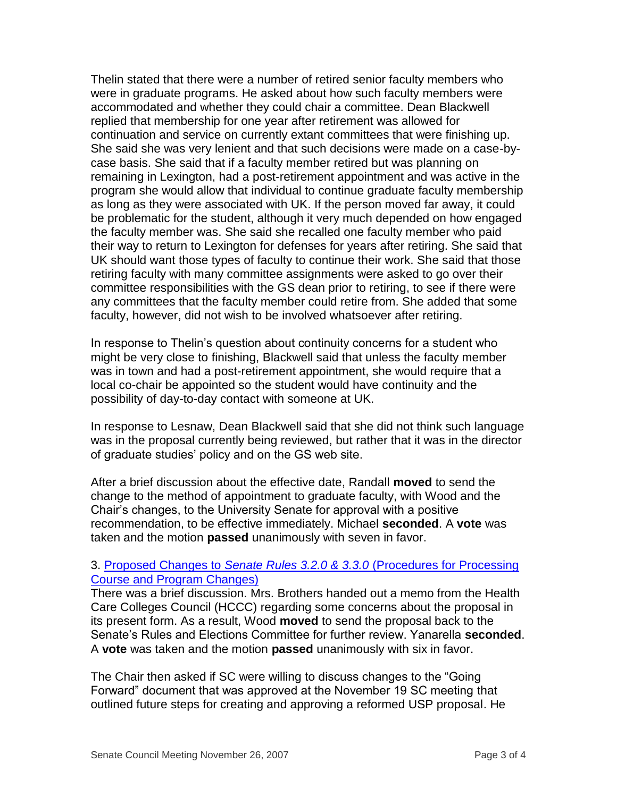Thelin stated that there were a number of retired senior faculty members who were in graduate programs. He asked about how such faculty members were accommodated and whether they could chair a committee. Dean Blackwell replied that membership for one year after retirement was allowed for continuation and service on currently extant committees that were finishing up. She said she was very lenient and that such decisions were made on a case-bycase basis. She said that if a faculty member retired but was planning on remaining in Lexington, had a post-retirement appointment and was active in the program she would allow that individual to continue graduate faculty membership as long as they were associated with UK. If the person moved far away, it could be problematic for the student, although it very much depended on how engaged the faculty member was. She said she recalled one faculty member who paid their way to return to Lexington for defenses for years after retiring. She said that UK should want those types of faculty to continue their work. She said that those retiring faculty with many committee assignments were asked to go over their committee responsibilities with the GS dean prior to retiring, to see if there were any committees that the faculty member could retire from. She added that some faculty, however, did not wish to be involved whatsoever after retiring.

In response to Thelin's question about continuity concerns for a student who might be very close to finishing, Blackwell said that unless the faculty member was in town and had a post-retirement appointment, she would require that a local co-chair be appointed so the student would have continuity and the possibility of day-to-day contact with someone at UK.

In response to Lesnaw, Dean Blackwell said that she did not think such language was in the proposal currently being reviewed, but rather that it was in the director of graduate studies' policy and on the GS web site.

After a brief discussion about the effective date, Randall **moved** to send the change to the method of appointment to graduate faculty, with Wood and the Chair's changes, to the University Senate for approval with a positive recommendation, to be effective immediately. Michael **seconded**. A **vote** was taken and the motion **passed** unanimously with seven in favor.

## 3. Proposed Changes to *Senate Rules 3.2.0 & 3.3.0* [\(Procedures for Processing](http://www.uky.edu/USC/New/files/20071119/courseprogramchangesmemotosencouncil.pdf)  [Course and Program Changes\)](http://www.uky.edu/USC/New/files/20071119/courseprogramchangesmemotosencouncil.pdf)

There was a brief discussion. Mrs. Brothers handed out a memo from the Health Care Colleges Council (HCCC) regarding some concerns about the proposal in its present form. As a result, Wood **moved** to send the proposal back to the Senate's Rules and Elections Committee for further review. Yanarella **seconded**. A **vote** was taken and the motion **passed** unanimously with six in favor.

The Chair then asked if SC were willing to discuss changes to the "Going Forward" document that was approved at the November 19 SC meeting that outlined future steps for creating and approving a reformed USP proposal. He